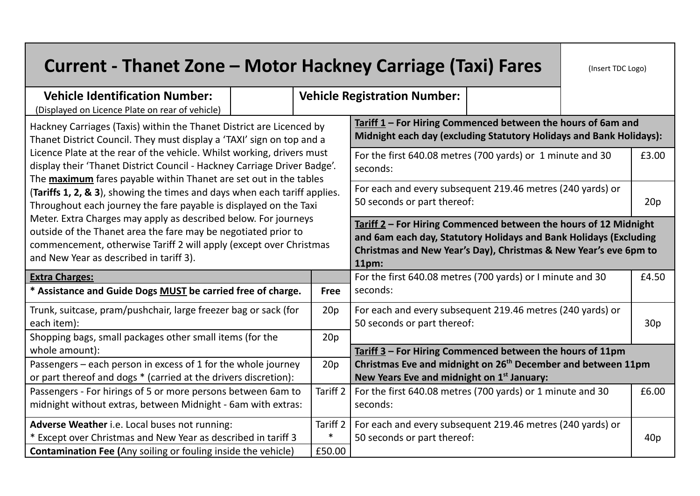| <b>Current - Thanet Zone – Motor Hackney Carriage (Taxi) Fares</b>                                                                                                                                                                                                                                                                                                                                                                                                                                                                                                                                                                                                                                                                                                                      |  |                 |                                                                                                                                                                                                                       |  | (Insert TDC Logo) |       |  |
|-----------------------------------------------------------------------------------------------------------------------------------------------------------------------------------------------------------------------------------------------------------------------------------------------------------------------------------------------------------------------------------------------------------------------------------------------------------------------------------------------------------------------------------------------------------------------------------------------------------------------------------------------------------------------------------------------------------------------------------------------------------------------------------------|--|-----------------|-----------------------------------------------------------------------------------------------------------------------------------------------------------------------------------------------------------------------|--|-------------------|-------|--|
| <b>Vehicle Identification Number:</b><br>(Displayed on Licence Plate on rear of vehicle)                                                                                                                                                                                                                                                                                                                                                                                                                                                                                                                                                                                                                                                                                                |  |                 | <b>Vehicle Registration Number:</b>                                                                                                                                                                                   |  |                   |       |  |
| Hackney Carriages (Taxis) within the Thanet District are Licenced by<br>Thanet District Council. They must display a 'TAXI' sign on top and a<br>Licence Plate at the rear of the vehicle. Whilst working, drivers must<br>display their 'Thanet District Council - Hackney Carriage Driver Badge'.<br>The <b>maximum</b> fares payable within Thanet are set out in the tables<br>(Tariffs 1, 2, & 3), showing the times and days when each tariff applies.<br>Throughout each journey the fare payable is displayed on the Taxi<br>Meter. Extra Charges may apply as described below. For journeys<br>outside of the Thanet area the fare may be negotiated prior to<br>commencement, otherwise Tariff 2 will apply (except over Christmas<br>and New Year as described in tariff 3). |  |                 | Tariff 1 - For Hiring Commenced between the hours of 6am and<br>Midnight each day (excluding Statutory Holidays and Bank Holidays):                                                                                   |  |                   |       |  |
|                                                                                                                                                                                                                                                                                                                                                                                                                                                                                                                                                                                                                                                                                                                                                                                         |  |                 | For the first 640.08 metres (700 yards) or 1 minute and 30<br>£3.00<br>seconds:                                                                                                                                       |  |                   |       |  |
|                                                                                                                                                                                                                                                                                                                                                                                                                                                                                                                                                                                                                                                                                                                                                                                         |  |                 | For each and every subsequent 219.46 metres (240 yards) or<br>50 seconds or part thereof:<br>20p                                                                                                                      |  |                   |       |  |
|                                                                                                                                                                                                                                                                                                                                                                                                                                                                                                                                                                                                                                                                                                                                                                                         |  |                 | Tariff 2 - For Hiring Commenced between the hours of 12 Midnight<br>and 6am each day, Statutory Holidays and Bank Holidays (Excluding<br>Christmas and New Year's Day), Christmas & New Year's eve 6pm to<br>$11pm$ : |  |                   |       |  |
| <b>Extra Charges:</b>                                                                                                                                                                                                                                                                                                                                                                                                                                                                                                                                                                                                                                                                                                                                                                   |  |                 | For the first 640.08 metres (700 yards) or I minute and 30                                                                                                                                                            |  |                   |       |  |
| Assistance and Guide Dogs MUST be carried free of charge.                                                                                                                                                                                                                                                                                                                                                                                                                                                                                                                                                                                                                                                                                                                               |  | <b>Free</b>     | seconds:                                                                                                                                                                                                              |  |                   |       |  |
| Trunk, suitcase, pram/pushchair, large freezer bag or sack (for<br>each item):                                                                                                                                                                                                                                                                                                                                                                                                                                                                                                                                                                                                                                                                                                          |  | 20 <sub>p</sub> | For each and every subsequent 219.46 metres (240 yards) or<br>50 seconds or part thereof:                                                                                                                             |  |                   | 30p   |  |
| Shopping bags, small packages other small items (for the                                                                                                                                                                                                                                                                                                                                                                                                                                                                                                                                                                                                                                                                                                                                |  | 20p             |                                                                                                                                                                                                                       |  |                   |       |  |
| whole amount):                                                                                                                                                                                                                                                                                                                                                                                                                                                                                                                                                                                                                                                                                                                                                                          |  |                 | Tariff 3 - For Hiring Commenced between the hours of 11pm                                                                                                                                                             |  |                   |       |  |
| Passengers - each person in excess of 1 for the whole journey<br>or part thereof and dogs * (carried at the drivers discretion):                                                                                                                                                                                                                                                                                                                                                                                                                                                                                                                                                                                                                                                        |  | 20p             | Christmas Eve and midnight on 26 <sup>th</sup> December and between 11pm<br>New Years Eve and midnight on 1 <sup>st</sup> January:                                                                                    |  |                   |       |  |
| Passengers - For hirings of 5 or more persons between 6am to<br>midnight without extras, between Midnight - 6am with extras:                                                                                                                                                                                                                                                                                                                                                                                                                                                                                                                                                                                                                                                            |  | Tariff 2        | For the first 640.08 metres (700 yards) or 1 minute and 30<br>seconds:                                                                                                                                                |  |                   | £6.00 |  |
| Adverse Weather i.e. Local buses not running:                                                                                                                                                                                                                                                                                                                                                                                                                                                                                                                                                                                                                                                                                                                                           |  | Tariff 2        | For each and every subsequent 219.46 metres (240 yards) or                                                                                                                                                            |  |                   |       |  |
| * Except over Christmas and New Year as described in tariff 3                                                                                                                                                                                                                                                                                                                                                                                                                                                                                                                                                                                                                                                                                                                           |  | $\ast$          | 50 seconds or part thereof:                                                                                                                                                                                           |  |                   | 40p   |  |
| <b>Contamination Fee (Any soiling or fouling inside the vehicle)</b>                                                                                                                                                                                                                                                                                                                                                                                                                                                                                                                                                                                                                                                                                                                    |  | £50.00          |                                                                                                                                                                                                                       |  |                   |       |  |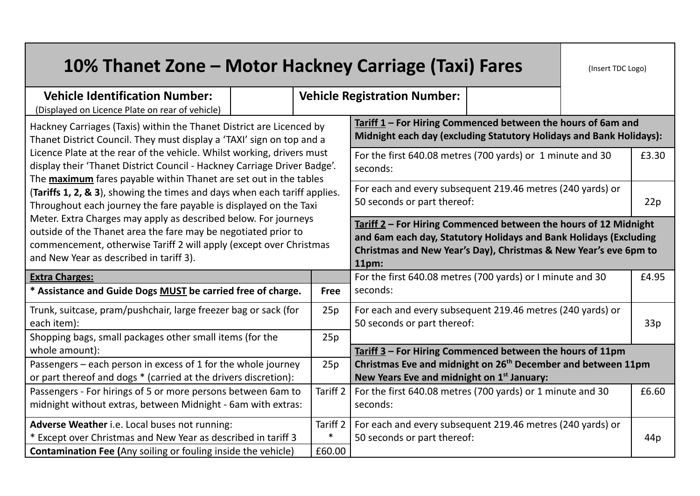| 10% Thanet Zone - Motor Hackney Carriage (Taxi) Fares                                                                                                                                                                                                                                                                                                                                                                                                                                                                                                                                                                                                                                                                                                                                   |  |             |                                                                                                                                                                                                                    |  | (Insert TDC Logo) |                 |
|-----------------------------------------------------------------------------------------------------------------------------------------------------------------------------------------------------------------------------------------------------------------------------------------------------------------------------------------------------------------------------------------------------------------------------------------------------------------------------------------------------------------------------------------------------------------------------------------------------------------------------------------------------------------------------------------------------------------------------------------------------------------------------------------|--|-------------|--------------------------------------------------------------------------------------------------------------------------------------------------------------------------------------------------------------------|--|-------------------|-----------------|
| <b>Vehicle Identification Number:</b><br>(Displayed on Licence Plate on rear of vehicle)                                                                                                                                                                                                                                                                                                                                                                                                                                                                                                                                                                                                                                                                                                |  |             | <b>Vehicle Registration Number:</b>                                                                                                                                                                                |  |                   |                 |
| Hackney Carriages (Taxis) within the Thanet District are Licenced by<br>Thanet District Council. They must display a 'TAXI' sign on top and a<br>Licence Plate at the rear of the vehicle. Whilst working, drivers must<br>display their 'Thanet District Council - Hackney Carriage Driver Badge'.<br>The <b>maximum</b> fares payable within Thanet are set out in the tables<br>(Tariffs 1, 2, & 3), showing the times and days when each tariff applies.<br>Throughout each journey the fare payable is displayed on the Taxi<br>Meter. Extra Charges may apply as described below. For journeys<br>outside of the Thanet area the fare may be negotiated prior to<br>commencement, otherwise Tariff 2 will apply (except over Christmas<br>and New Year as described in tariff 3). |  |             | Tariff 1 - For Hiring Commenced between the hours of 6am and<br>Midnight each day (excluding Statutory Holidays and Bank Holidays):                                                                                |  |                   |                 |
|                                                                                                                                                                                                                                                                                                                                                                                                                                                                                                                                                                                                                                                                                                                                                                                         |  |             | For the first 640.08 metres (700 yards) or 1 minute and 30<br>seconds:                                                                                                                                             |  |                   | £3.30           |
|                                                                                                                                                                                                                                                                                                                                                                                                                                                                                                                                                                                                                                                                                                                                                                                         |  |             | For each and every subsequent 219.46 metres (240 yards) or<br>50 seconds or part thereof:<br>22p                                                                                                                   |  |                   |                 |
|                                                                                                                                                                                                                                                                                                                                                                                                                                                                                                                                                                                                                                                                                                                                                                                         |  |             | Tariff 2 - For Hiring Commenced between the hours of 12 Midnight<br>and 6am each day, Statutory Holidays and Bank Holidays (Excluding<br>Christmas and New Year's Day), Christmas & New Year's eve 6pm to<br>11pm: |  |                   |                 |
| <b>Extra Charges:</b>                                                                                                                                                                                                                                                                                                                                                                                                                                                                                                                                                                                                                                                                                                                                                                   |  |             | For the first 640.08 metres (700 yards) or I minute and 30                                                                                                                                                         |  |                   |                 |
| * Assistance and Guide Dogs MUST be carried free of charge.                                                                                                                                                                                                                                                                                                                                                                                                                                                                                                                                                                                                                                                                                                                             |  | <b>Free</b> | seconds:                                                                                                                                                                                                           |  |                   |                 |
| Trunk, suitcase, pram/pushchair, large freezer bag or sack (for<br>each item):                                                                                                                                                                                                                                                                                                                                                                                                                                                                                                                                                                                                                                                                                                          |  | 25p         | For each and every subsequent 219.46 metres (240 yards) or<br>50 seconds or part thereof:                                                                                                                          |  |                   | 33p             |
| Shopping bags, small packages other small items (for the                                                                                                                                                                                                                                                                                                                                                                                                                                                                                                                                                                                                                                                                                                                                |  | 25p         |                                                                                                                                                                                                                    |  |                   |                 |
| whole amount):                                                                                                                                                                                                                                                                                                                                                                                                                                                                                                                                                                                                                                                                                                                                                                          |  |             | Tariff 3 - For Hiring Commenced between the hours of 11pm                                                                                                                                                          |  |                   |                 |
| Passengers - each person in excess of 1 for the whole journey<br>or part thereof and dogs * (carried at the drivers discretion):                                                                                                                                                                                                                                                                                                                                                                                                                                                                                                                                                                                                                                                        |  | 25p         | Christmas Eve and midnight on 26 <sup>th</sup> December and between 11pm<br>New Years Eve and midnight on 1 <sup>st</sup> January:                                                                                 |  |                   |                 |
| Passengers - For hirings of 5 or more persons between 6am to                                                                                                                                                                                                                                                                                                                                                                                                                                                                                                                                                                                                                                                                                                                            |  | Tariff 2    | For the first 640.08 metres (700 yards) or 1 minute and 30                                                                                                                                                         |  |                   | £6.60           |
| midnight without extras, between Midnight - 6am with extras:                                                                                                                                                                                                                                                                                                                                                                                                                                                                                                                                                                                                                                                                                                                            |  |             | seconds:                                                                                                                                                                                                           |  |                   |                 |
| Adverse Weather i.e. Local buses not running:                                                                                                                                                                                                                                                                                                                                                                                                                                                                                                                                                                                                                                                                                                                                           |  | Tariff 2    | For each and every subsequent 219.46 metres (240 yards) or                                                                                                                                                         |  |                   |                 |
| * Except over Christmas and New Year as described in tariff 3                                                                                                                                                                                                                                                                                                                                                                                                                                                                                                                                                                                                                                                                                                                           |  | $\ast$      | 50 seconds or part thereof:                                                                                                                                                                                        |  |                   | 44 <sub>p</sub> |
| <b>Contamination Fee (Any soiling or fouling inside the vehicle)</b>                                                                                                                                                                                                                                                                                                                                                                                                                                                                                                                                                                                                                                                                                                                    |  | £60.00      |                                                                                                                                                                                                                    |  |                   |                 |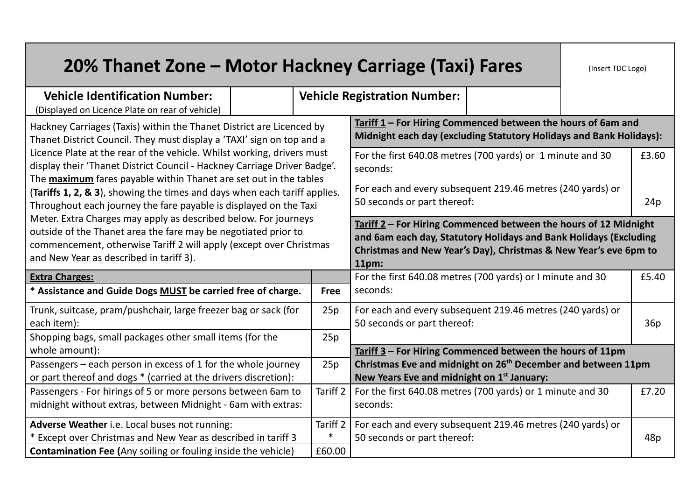| 20% Thanet Zone - Motor Hackney Carriage (Taxi) Fares                                                                                                                                                                                                                                                                                                                                                                                                                                                                                                                                                                                                                                                                                                                                   |  |                     |                                                                                                                                                                                                                    |  | (Insert TDC Logo) |       |  |
|-----------------------------------------------------------------------------------------------------------------------------------------------------------------------------------------------------------------------------------------------------------------------------------------------------------------------------------------------------------------------------------------------------------------------------------------------------------------------------------------------------------------------------------------------------------------------------------------------------------------------------------------------------------------------------------------------------------------------------------------------------------------------------------------|--|---------------------|--------------------------------------------------------------------------------------------------------------------------------------------------------------------------------------------------------------------|--|-------------------|-------|--|
| <b>Vehicle Identification Number:</b><br>(Displayed on Licence Plate on rear of vehicle)                                                                                                                                                                                                                                                                                                                                                                                                                                                                                                                                                                                                                                                                                                |  |                     | <b>Vehicle Registration Number:</b>                                                                                                                                                                                |  |                   |       |  |
| Hackney Carriages (Taxis) within the Thanet District are Licenced by<br>Thanet District Council. They must display a 'TAXI' sign on top and a<br>Licence Plate at the rear of the vehicle. Whilst working, drivers must<br>display their 'Thanet District Council - Hackney Carriage Driver Badge'.<br>The <b>maximum</b> fares payable within Thanet are set out in the tables<br>(Tariffs 1, 2, & 3), showing the times and days when each tariff applies.<br>Throughout each journey the fare payable is displayed on the Taxi<br>Meter. Extra Charges may apply as described below. For journeys<br>outside of the Thanet area the fare may be negotiated prior to<br>commencement, otherwise Tariff 2 will apply (except over Christmas<br>and New Year as described in tariff 3). |  |                     | Tariff $1$ – For Hiring Commenced between the hours of 6am and<br>Midnight each day (excluding Statutory Holidays and Bank Holidays):                                                                              |  |                   |       |  |
|                                                                                                                                                                                                                                                                                                                                                                                                                                                                                                                                                                                                                                                                                                                                                                                         |  |                     | For the first 640.08 metres (700 yards) or 1 minute and 30<br>seconds:                                                                                                                                             |  |                   | £3.60 |  |
|                                                                                                                                                                                                                                                                                                                                                                                                                                                                                                                                                                                                                                                                                                                                                                                         |  |                     | For each and every subsequent 219.46 metres (240 yards) or<br>50 seconds or part thereof:<br>24p                                                                                                                   |  |                   |       |  |
|                                                                                                                                                                                                                                                                                                                                                                                                                                                                                                                                                                                                                                                                                                                                                                                         |  |                     | Tariff 2 - For Hiring Commenced between the hours of 12 Midnight<br>and 6am each day, Statutory Holidays and Bank Holidays (Excluding<br>Christmas and New Year's Day), Christmas & New Year's eve 6pm to<br>11pm: |  |                   |       |  |
| <b>Extra Charges:</b>                                                                                                                                                                                                                                                                                                                                                                                                                                                                                                                                                                                                                                                                                                                                                                   |  |                     | For the first 640.08 metres (700 yards) or I minute and 30                                                                                                                                                         |  |                   |       |  |
| * Assistance and Guide Dogs MUST be carried free of charge.                                                                                                                                                                                                                                                                                                                                                                                                                                                                                                                                                                                                                                                                                                                             |  | <b>Free</b>         | seconds:                                                                                                                                                                                                           |  |                   |       |  |
| Trunk, suitcase, pram/pushchair, large freezer bag or sack (for<br>each item):                                                                                                                                                                                                                                                                                                                                                                                                                                                                                                                                                                                                                                                                                                          |  | 25p                 | For each and every subsequent 219.46 metres (240 yards) or<br>50 seconds or part thereof:                                                                                                                          |  |                   | 36p   |  |
| Shopping bags, small packages other small items (for the                                                                                                                                                                                                                                                                                                                                                                                                                                                                                                                                                                                                                                                                                                                                |  | 25p                 |                                                                                                                                                                                                                    |  |                   |       |  |
| whole amount):                                                                                                                                                                                                                                                                                                                                                                                                                                                                                                                                                                                                                                                                                                                                                                          |  |                     | Tariff 3 - For Hiring Commenced between the hours of 11pm                                                                                                                                                          |  |                   |       |  |
| Passengers - each person in excess of 1 for the whole journey<br>or part thereof and dogs * (carried at the drivers discretion):                                                                                                                                                                                                                                                                                                                                                                                                                                                                                                                                                                                                                                                        |  | 25p                 | Christmas Eve and midnight on 26 <sup>th</sup> December and between 11pm<br>New Years Eve and midnight on 1 <sup>st</sup> January:                                                                                 |  |                   |       |  |
| Passengers - For hirings of 5 or more persons between 6am to<br>midnight without extras, between Midnight - 6am with extras:                                                                                                                                                                                                                                                                                                                                                                                                                                                                                                                                                                                                                                                            |  | Tariff 2            | For the first 640.08 metres (700 yards) or 1 minute and 30<br>seconds:                                                                                                                                             |  |                   | £7.20 |  |
| Adverse Weather i.e. Local buses not running:                                                                                                                                                                                                                                                                                                                                                                                                                                                                                                                                                                                                                                                                                                                                           |  | Tariff <sub>2</sub> | For each and every subsequent 219.46 metres (240 yards) or                                                                                                                                                         |  |                   |       |  |
| * Except over Christmas and New Year as described in tariff 3                                                                                                                                                                                                                                                                                                                                                                                                                                                                                                                                                                                                                                                                                                                           |  | $\ast$              | 50 seconds or part thereof:                                                                                                                                                                                        |  |                   | 48p   |  |
| <b>Contamination Fee (Any soiling or fouling inside the vehicle)</b>                                                                                                                                                                                                                                                                                                                                                                                                                                                                                                                                                                                                                                                                                                                    |  | £60.00              |                                                                                                                                                                                                                    |  |                   |       |  |